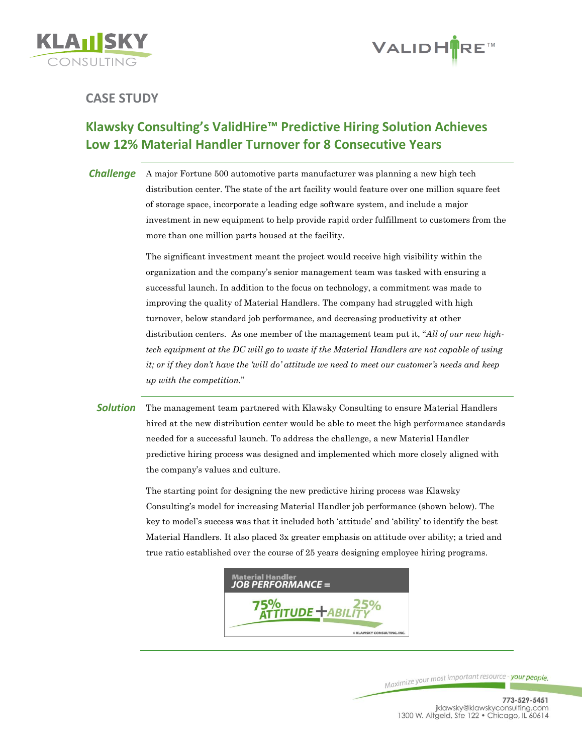



## **CASE STUDY**

# **Klawsky Consulting's ValidHire™ Predictive Hiring Solution Achieves Low 12% Material Handler Turnover for 8 Consecutive Years**

*Challenge* A major Fortune 500 automotive parts manufacturer was planning a new high tech distribution center. The state of the art facility would feature over one million square feet of storage space, incorporate a leading edge software system, and include a major investment in new equipment to help provide rapid order fulfillment to customers from the more than one million parts housed at the facility.

> The significant investment meant the project would receive high visibility within the organization and the company's senior management team was tasked with ensuring a successful launch. In addition to the focus on technology, a commitment was made to improving the quality of Material Handlers. The company had struggled with high turnover, below standard job performance, and decreasing productivity at other distribution centers. As one member of the management team put it, "*All of our new hightech equipment at the DC will go to waste if the Material Handlers are not capable of using it; or if they don't have the 'will do' attitude we need to meet our customer's needs and keep up with the competition.*"

**Solution** The management team partnered with Klawsky Consulting to ensure Material Handlers hired at the new distribution center would be able to meet the high performance standards needed for a successful launch. To address the challenge, a new Material Handler predictive hiring process was designed and implemented which more closely aligned with the company's values and culture.

> The starting point for designing the new predictive hiring process was Klawsky Consulting's model for increasing Material Handler job performance (shown below). The key to model's success was that it included both 'attitude' and 'ability' to identify the best Material Handlers. It also placed 3x greater emphasis on attitude over ability; a tried and true ratio established over the course of 25 years designing employee hiring programs.



Maximize your most important resource - your people.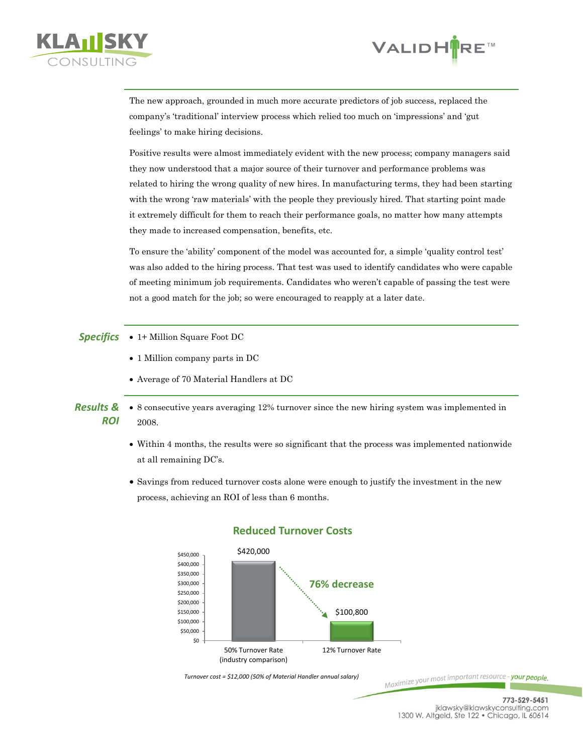



The new approach, grounded in much more accurate predictors of job success, replaced the company's 'traditional' interview process which relied too much on 'impressions' and 'gut feelings' to make hiring decisions.

Positive results were almost immediately evident with the new process; company managers said they now understood that a major source of their turnover and performance problems was related to hiring the wrong quality of new hires. In manufacturing terms, they had been starting with the wrong 'raw materials' with the people they previously hired. That starting point made it extremely difficult for them to reach their performance goals, no matter how many attempts they made to increased compensation, benefits, etc.

To ensure the 'ability' component of the model was accounted for, a simple 'quality control test' was also added to the hiring process. That test was used to identify candidates who were capable of meeting minimum job requirements. Candidates who weren't capable of passing the test were not a good match for the job; so were encouraged to reapply at a later date.

**Specifics** • 1+ Million Square Foot DC

- 1 Million company parts in DC
- Average of 70 Material Handlers at DC
- *Results & ROI* 8 consecutive years averaging 12% turnover since the new hiring system was implemented in 2008.
	- Within 4 months, the results were so significant that the process was implemented nationwide at all remaining DC's.
	- Savings from reduced turnover costs alone were enough to justify the investment in the new process, achieving an ROI of less than 6 months.



### **Reduced Turnover Costs**

Maximize your most important resource - your people.

*Turnover cost = \$12,000 (50% of Material Handler annual salary)*